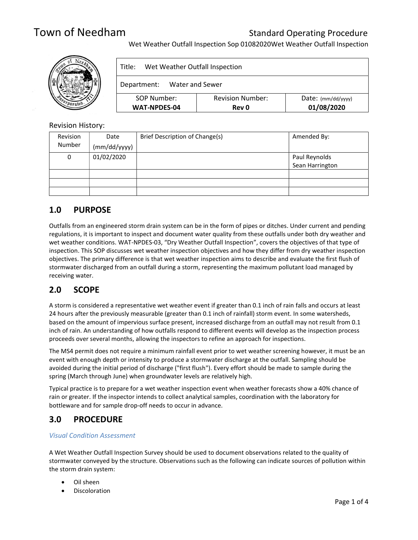Wet Weather Outfall Inspection Sop 01082020Wet Weather Outfall Inspection



| Wet Weather Outfall Inspection<br>Title: |                                         |                                    |  |  |
|------------------------------------------|-----------------------------------------|------------------------------------|--|--|
| Water and Sewer<br>Department:           |                                         |                                    |  |  |
| SOP Number:<br><b>WAT-NPDES-04</b>       | <b>Revision Number:</b><br><b>Rev 0</b> | $Date:$ (mm/dd/yyyy)<br>01/08/2020 |  |  |

### Revision History:

| Revision | Date         | Brief Description of Change(s) | Amended By:     |
|----------|--------------|--------------------------------|-----------------|
| Number   | (mm/dd/yyyy) |                                |                 |
| 0        | 01/02/2020   |                                | Paul Reynolds   |
|          |              |                                | Sean Harrington |
|          |              |                                |                 |
|          |              |                                |                 |
|          |              |                                |                 |

## 1.0 PURPOSE

Outfalls from an engineered storm drain system can be in the form of pipes or ditches. Under current and pending regulations, it is important to inspect and document water quality from these outfalls under both dry weather and wet weather conditions. WAT-NPDES-03, "Dry Weather Outfall Inspection", covers the objectives of that type of inspection. This SOP discusses wet weather inspection objectives and how they differ from dry weather inspection objectives. The primary difference is that wet weather inspection aims to describe and evaluate the first flush of stormwater discharged from an outfall during a storm, representing the maximum pollutant load managed by receiving water.

## 2.0 SCOPE

A storm is considered a representative wet weather event if greater than 0.1 inch of rain falls and occurs at least 24 hours after the previously measurable (greater than 0.1 inch of rainfall) storm event. In some watersheds, based on the amount of impervious surface present, increased discharge from an outfall may not result from 0.1 inch of rain. An understanding of how outfalls respond to different events will develop as the inspection process proceeds over several months, allowing the inspectors to refine an approach for inspections.

The MS4 permit does not require a minimum rainfall event prior to wet weather screening however, it must be an event with enough depth or intensity to produce a stormwater discharge at the outfall. Sampling should be avoided during the initial period of discharge ("first flush"). Every effort should be made to sample during the spring (March through June) when groundwater levels are relatively high.

Typical practice is to prepare for a wet weather inspection event when weather forecasts show a 40% chance of rain or greater. If the inspector intends to collect analytical samples, coordination with the laboratory for bottleware and for sample drop-off needs to occur in advance.

## 3.0 PROCEDURE

### Visual Condition Assessment

A Wet Weather Outfall Inspection Survey should be used to document observations related to the quality of stormwater conveyed by the structure. Observations such as the following can indicate sources of pollution within the storm drain system:

- Oil sheen
- Discoloration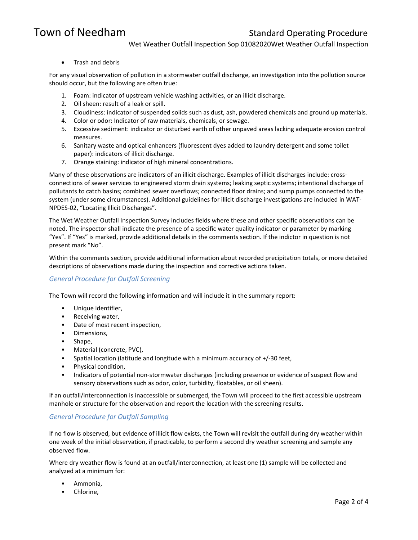Wet Weather Outfall Inspection Sop 01082020Wet Weather Outfall Inspection

• Trash and debris

For any visual observation of pollution in a stormwater outfall discharge, an investigation into the pollution source should occur, but the following are often true:

- 1. Foam: indicator of upstream vehicle washing activities, or an illicit discharge.
- 2. Oil sheen: result of a leak or spill.
- 3. Cloudiness: indicator of suspended solids such as dust, ash, powdered chemicals and ground up materials.
- 4. Color or odor: Indicator of raw materials, chemicals, or sewage.
- 5. Excessive sediment: indicator or disturbed earth of other unpaved areas lacking adequate erosion control measures.
- 6. Sanitary waste and optical enhancers (fluorescent dyes added to laundry detergent and some toilet paper): indicators of illicit discharge.
- 7. Orange staining: indicator of high mineral concentrations.

Many of these observations are indicators of an illicit discharge. Examples of illicit discharges include: crossconnections of sewer services to engineered storm drain systems; leaking septic systems; intentional discharge of pollutants to catch basins; combined sewer overflows; connected floor drains; and sump pumps connected to the system (under some circumstances). Additional guidelines for illicit discharge investigations are included in WAT-NPDES-02, "Locating Illicit Discharges".

The Wet Weather Outfall Inspection Survey includes fields where these and other specific observations can be noted. The inspector shall indicate the presence of a specific water quality indicator or parameter by marking "Yes". If "Yes" is marked, provide additional details in the comments section. If the indictor in question is not present mark "No".

Within the comments section, provide additional information about recorded precipitation totals, or more detailed descriptions of observations made during the inspection and corrective actions taken.

### General Procedure for Outfall Screening

The Town will record the following information and will include it in the summary report:

- Unique identifier,
- Receiving water,
- Date of most recent inspection,
- Dimensions,
- Shape,
- Material (concrete, PVC),
- Spatial location (latitude and longitude with a minimum accuracy of +/-30 feet,
- Physical condition,
- Indicators of potential non-stormwater discharges (including presence or evidence of suspect flow and sensory observations such as odor, color, turbidity, floatables, or oil sheen).

If an outfall/interconnection is inaccessible or submerged, the Town will proceed to the first accessible upstream manhole or structure for the observation and report the location with the screening results.

### General Procedure for Outfall Sampling

If no flow is observed, but evidence of illicit flow exists, the Town will revisit the outfall during dry weather within one week of the initial observation, if practicable, to perform a second dry weather screening and sample any observed flow.

Where dry weather flow is found at an outfall/interconnection, at least one (1) sample will be collected and analyzed at a minimum for:

- Ammonia,
- Chlorine,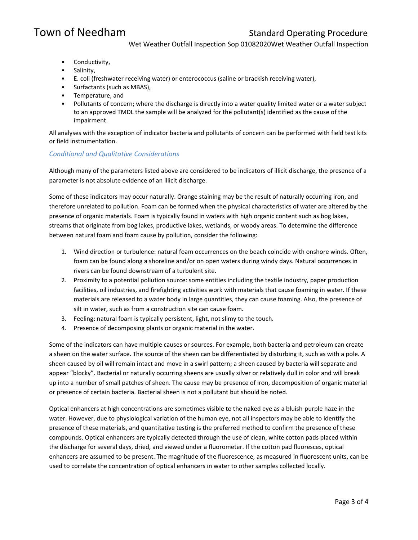Wet Weather Outfall Inspection Sop 01082020Wet Weather Outfall Inspection

- Conductivity,
- Salinity,
- E. coli (freshwater receiving water) or enterococcus (saline or brackish receiving water),
- Surfactants (such as MBAS),
- Temperature, and
- Pollutants of concern; where the discharge is directly into a water quality limited water or a water subject to an approved TMDL the sample will be analyzed for the pollutant(s) identified as the cause of the impairment.

All analyses with the exception of indicator bacteria and pollutants of concern can be performed with field test kits or field instrumentation.

### Conditional and Qualitative Considerations

Although many of the parameters listed above are considered to be indicators of illicit discharge, the presence of a parameter is not absolute evidence of an illicit discharge.

Some of these indicators may occur naturally. Orange staining may be the result of naturally occurring iron, and therefore unrelated to pollution. Foam can be formed when the physical characteristics of water are altered by the presence of organic materials. Foam is typically found in waters with high organic content such as bog lakes, streams that originate from bog lakes, productive lakes, wetlands, or woody areas. To determine the difference between natural foam and foam cause by pollution, consider the following:

- 1. Wind direction or turbulence: natural foam occurrences on the beach coincide with onshore winds. Often, foam can be found along a shoreline and/or on open waters during windy days. Natural occurrences in rivers can be found downstream of a turbulent site.
- 2. Proximity to a potential pollution source: some entities including the textile industry, paper production facilities, oil industries, and firefighting activities work with materials that cause foaming in water. If these materials are released to a water body in large quantities, they can cause foaming. Also, the presence of silt in water, such as from a construction site can cause foam.
- 3. Feeling: natural foam is typically persistent, light, not slimy to the touch.
- 4. Presence of decomposing plants or organic material in the water.

Some of the indicators can have multiple causes or sources. For example, both bacteria and petroleum can create a sheen on the water surface. The source of the sheen can be differentiated by disturbing it, such as with a pole. A sheen caused by oil will remain intact and move in a swirl pattern; a sheen caused by bacteria will separate and appear "blocky". Bacterial or naturally occurring sheens are usually silver or relatively dull in color and will break up into a number of small patches of sheen. The cause may be presence of iron, decomposition of organic material or presence of certain bacteria. Bacterial sheen is not a pollutant but should be noted.

Optical enhancers at high concentrations are sometimes visible to the naked eye as a bluish-purple haze in the water. However, due to physiological variation of the human eye, not all inspectors may be able to identify the presence of these materials, and quantitative testing is the preferred method to confirm the presence of these compounds. Optical enhancers are typically detected through the use of clean, white cotton pads placed within the discharge for several days, dried, and viewed under a fluorometer. If the cotton pad fluoresces, optical enhancers are assumed to be present. The magnitude of the fluorescence, as measured in fluorescent units, can be used to correlate the concentration of optical enhancers in water to other samples collected locally.